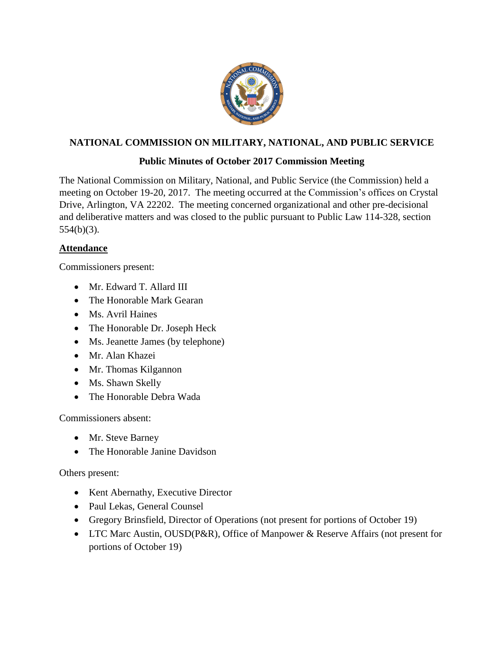

## **NATIONAL COMMISSION ON MILITARY, NATIONAL, AND PUBLIC SERVICE**

## **Public Minutes of October 2017 Commission Meeting**

The National Commission on Military, National, and Public Service (the Commission) held a meeting on October 19-20, 2017. The meeting occurred at the Commission's offices on Crystal Drive, Arlington, VA 22202. The meeting concerned organizational and other pre-decisional and deliberative matters and was closed to the public pursuant to Public Law 114-328, section 554(b)(3).

### **Attendance**

Commissioners present:

- Mr. Edward T. Allard III
- The Honorable Mark Gearan
- Ms. Avril Haines
- The Honorable Dr. Joseph Heck
- Ms. Jeanette James (by telephone)
- Mr. Alan Khazei
- Mr. Thomas Kilgannon
- Ms. Shawn Skelly
- The Honorable Debra Wada

Commissioners absent:

- Mr. Steve Barney
- The Honorable Janine Davidson

Others present:

- Kent Abernathy, Executive Director
- Paul Lekas, General Counsel
- Gregory Brinsfield, Director of Operations (not present for portions of October 19)
- LTC Marc Austin, OUSD(P&R), Office of Manpower & Reserve Affairs (not present for portions of October 19)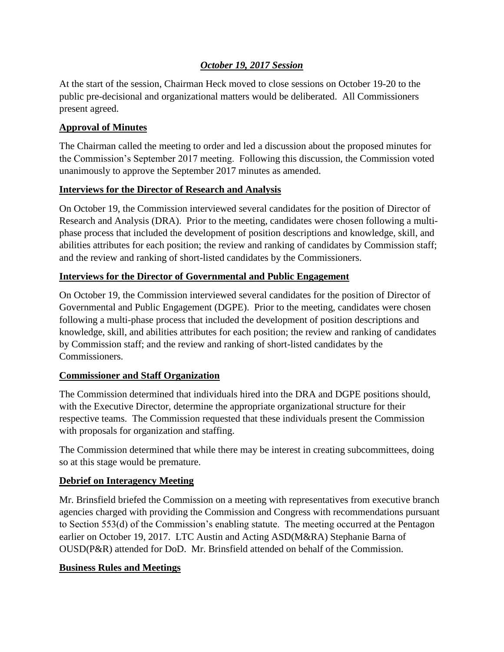### *October 19, 2017 Session*

At the start of the session, Chairman Heck moved to close sessions on October 19-20 to the public pre-decisional and organizational matters would be deliberated. All Commissioners present agreed.

### **Approval of Minutes**

The Chairman called the meeting to order and led a discussion about the proposed minutes for the Commission's September 2017 meeting. Following this discussion, the Commission voted unanimously to approve the September 2017 minutes as amended.

### **Interviews for the Director of Research and Analysis**

On October 19, the Commission interviewed several candidates for the position of Director of Research and Analysis (DRA). Prior to the meeting, candidates were chosen following a multiphase process that included the development of position descriptions and knowledge, skill, and abilities attributes for each position; the review and ranking of candidates by Commission staff; and the review and ranking of short-listed candidates by the Commissioners.

#### **Interviews for the Director of Governmental and Public Engagement**

On October 19, the Commission interviewed several candidates for the position of Director of Governmental and Public Engagement (DGPE). Prior to the meeting, candidates were chosen following a multi-phase process that included the development of position descriptions and knowledge, skill, and abilities attributes for each position; the review and ranking of candidates by Commission staff; and the review and ranking of short-listed candidates by the Commissioners.

### **Commissioner and Staff Organization**

The Commission determined that individuals hired into the DRA and DGPE positions should, with the Executive Director, determine the appropriate organizational structure for their respective teams. The Commission requested that these individuals present the Commission with proposals for organization and staffing.

The Commission determined that while there may be interest in creating subcommittees, doing so at this stage would be premature.

#### **Debrief on Interagency Meeting**

Mr. Brinsfield briefed the Commission on a meeting with representatives from executive branch agencies charged with providing the Commission and Congress with recommendations pursuant to Section 553(d) of the Commission's enabling statute. The meeting occurred at the Pentagon earlier on October 19, 2017. LTC Austin and Acting ASD(M&RA) Stephanie Barna of OUSD(P&R) attended for DoD. Mr. Brinsfield attended on behalf of the Commission.

#### **Business Rules and Meetings**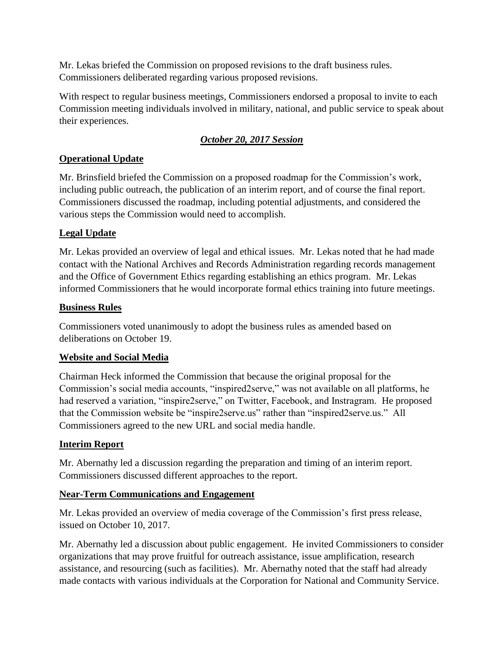Mr. Lekas briefed the Commission on proposed revisions to the draft business rules. Commissioners deliberated regarding various proposed revisions.

With respect to regular business meetings, Commissioners endorsed a proposal to invite to each Commission meeting individuals involved in military, national, and public service to speak about their experiences.

## *October 20, 2017 Session*

## **Operational Update**

Mr. Brinsfield briefed the Commission on a proposed roadmap for the Commission's work, including public outreach, the publication of an interim report, and of course the final report. Commissioners discussed the roadmap, including potential adjustments, and considered the various steps the Commission would need to accomplish.

# **Legal Update**

Mr. Lekas provided an overview of legal and ethical issues. Mr. Lekas noted that he had made contact with the National Archives and Records Administration regarding records management and the Office of Government Ethics regarding establishing an ethics program. Mr. Lekas informed Commissioners that he would incorporate formal ethics training into future meetings.

## **Business Rules**

Commissioners voted unanimously to adopt the business rules as amended based on deliberations on October 19.

# **Website and Social Media**

Chairman Heck informed the Commission that because the original proposal for the Commission's social media accounts, "inspired2serve," was not available on all platforms, he had reserved a variation, "inspire2serve," on Twitter, Facebook, and Instragram. He proposed that the Commission website be "inspire2serve.us" rather than "inspired2serve.us." All Commissioners agreed to the new URL and social media handle.

# **Interim Report**

Mr. Abernathy led a discussion regarding the preparation and timing of an interim report. Commissioners discussed different approaches to the report.

## **Near-Term Communications and Engagement**

Mr. Lekas provided an overview of media coverage of the Commission's first press release, issued on October 10, 2017.

Mr. Abernathy led a discussion about public engagement. He invited Commissioners to consider organizations that may prove fruitful for outreach assistance, issue amplification, research assistance, and resourcing (such as facilities). Mr. Abernathy noted that the staff had already made contacts with various individuals at the Corporation for National and Community Service.